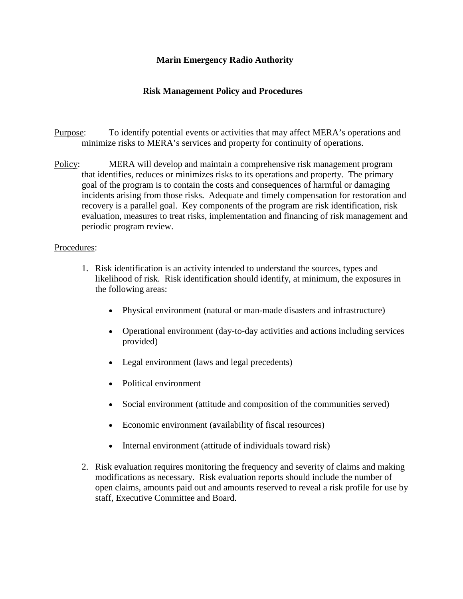## **Marin Emergency Radio Authority**

## **Risk Management Policy and Procedures**

- Purpose: To identify potential events or activities that may affect MERA's operations and minimize risks to MERA's services and property for continuity of operations.
- Policy: MERA will develop and maintain a comprehensive risk management program that identifies, reduces or minimizes risks to its operations and property. The primary goal of the program is to contain the costs and consequences of harmful or damaging incidents arising from those risks. Adequate and timely compensation for restoration and recovery is a parallel goal. Key components of the program are risk identification, risk evaluation, measures to treat risks, implementation and financing of risk management and periodic program review.

## Procedures:

- 1. Risk identification is an activity intended to understand the sources, types and likelihood of risk. Risk identification should identify, at minimum, the exposures in the following areas:
	- Physical environment (natural or man-made disasters and infrastructure)
	- Operational environment (day-to-day activities and actions including services provided)
	- Legal environment (laws and legal precedents)
	- Political environment
	- Social environment (attitude and composition of the communities served)
	- Economic environment (availability of fiscal resources)
	- Internal environment (attitude of individuals toward risk)
- 2. Risk evaluation requires monitoring the frequency and severity of claims and making modifications as necessary. Risk evaluation reports should include the number of open claims, amounts paid out and amounts reserved to reveal a risk profile for use by staff, Executive Committee and Board.